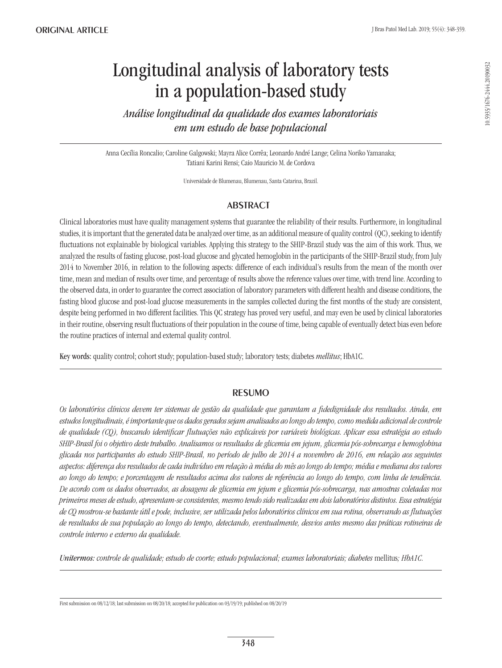# Longitudinal analysis of laboratory tests in a population-based study

*Análise longitudinal da qualidade dos exames laboratoriais em um estudo de base populacional*

Anna Cecília Roncalio; Caroline Galgowski; Mayra Alice Corrêa; Leonardo André Lange; Celina Noriko Yamanaka; Tatiani Karini Rensi; Caio Mauricio M. de Cordova

Universidade de Blumenau, Blumenau, Santa Catarina, Brazil.

# **ABSTRACT**

Clinical laboratories must have quality management systems that guarantee the reliability of their results. Furthermore, in longitudinal studies, it is important that the generated data be analyzed over time, as an additional measure of quality control (QC), seeking to identify fluctuations not explainable by biological variables. Applying this strategy to the SHIP-Brazil study was the aim of this work. Thus, we analyzed the results of fasting glucose, post-load glucose and glycated hemoglobin in the participants of the SHIP-Brazil study, from July 2014 to November 2016, in relation to the following aspects: difference of each individual's results from the mean of the month over time, mean and median of results over time, and percentage of results above the reference values over time, with trend line. According to the observed data, in order to guarantee the correct association of laboratory parameters with different health and disease conditions, the fasting blood glucose and post-load glucose measurements in the samples collected during the first months of the study are consistent, despite being performed in two different facilities. This QC strategy has proved very useful, and may even be used by clinical laboratories in their routine, observing result fluctuations of their population in the course of time, being capable of eventually detect bias even before the routine practices of internal and external quality control.

Key words: quality control; cohort study; population-based study; laboratory tests; diabetes *mellitus*; HbA1C.

# **RESUMO**

*Os laboratórios clínicos devem ter sistemas de gestão da qualidade que garantam a fidedignidade dos resultados. Ainda, em estudos longitudinais, é importante que os dados gerados sejam analisados ao longo do tempo, como medida adicional de controle de qualidade (CQ), buscando identificar flutuações não explicáveis por variáveis biológicas. Aplicar essa estratégia ao estudo SHIP-Brasil foi o objetivo deste trabalho. Analisamos os resultados de glicemia em jejum, glicemia pós-sobrecarga e hemoglobina glicada nos participantes do estudo SHIP-Brasil, no período de julho de 2014 a novembro de 2016, em relação aos seguintes aspectos: diferença dos resultados de cada indivíduo em relação à média do mês ao longo do tempo; média e mediana dos valores ao longo do tempo; e porcentagem de resultados acima dos valores de referência ao longo do tempo, com linha de tendência. De acordo com os dados observados, as dosagens de glicemia em jejum e glicemia pós-sobrecarga, nas amostras coletadas nos primeiros meses de estudo, apresentam-se consistentes, mesmo tendo sido realizadas em dois laboratórios distintos. Essa estratégia de CQ mostrou-se bastante útil e pode, inclusive, ser utilizada pelos laboratórios clínicos em sua rotina, observando as flutuações de resultados de sua população ao longo do tempo, detectando, eventualmente, desvios antes mesmo das práticas rotineiras de controle interno e externo da qualidade.* 

*Unitermos: controle de qualidade; estudo de coorte; estudo populacional; exames laboratoriais; diabetes* mellitus*; HbA1C.*

First submission on 08/12/18; last submission on 08/20/18; accepted for publication on 03/19/19; published on 08/20/19

10.5935/1676-2444.20190032

0.5935/1676-2444.20190032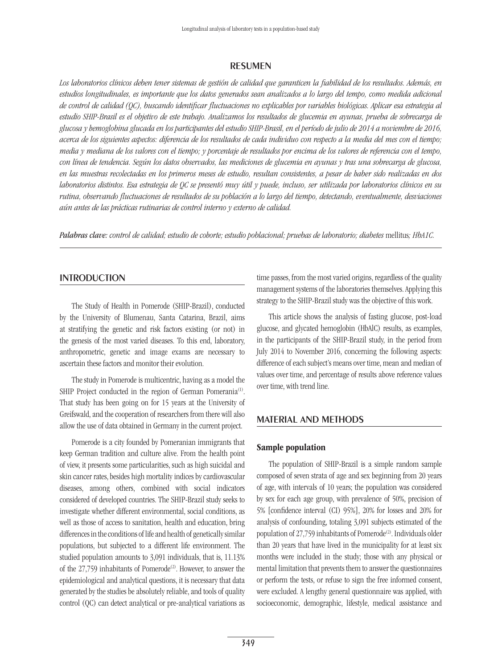## **RESUMEN**

*Los laboratorios clínicos deben tener sistemas de gestión de calidad que garanticen la fiabilidad de los resultados. Además, en estudios longitudinales, es importante que los datos generados sean analizados a lo largo del tempo, como medida adicional de control de calidad (QC), buscando identificar fluctuaciones no explicables por variables biológicas. Aplicar esa estrategia al estudio SHIP-Brasil es el objetivo de este trabajo. Analizamos los resultados de glucemia en ayunas, prueba de sobrecarga de glucosa y hemoglobina glucada en los participantes del estudio SHIP-Brasil, en el período de julio de 2014 a noviembre de 2016, acerca de los siguientes aspectos: diferencia de los resultados de cada individuo con respecto a la media del mes con el tiempo; media y mediana de los valores con el tiempo; y porcentaje de resultados por encima de los valores de referencia con el tempo, con línea de tendencia. Según los datos observados, las mediciones de glucemia en ayunas y tras una sobrecarga de glucosa, en las muestras recolectadas en los primeros meses de estudio, resultan consistentes, a pesar de haber sido realizadas en dos laboratorios distintos. Esa estrategia de QC se presentó muy útil y puede, incluso, ser utilizada por laboratorios clínicos en su rutina, observando fluctuaciones de resultados de su población a lo largo del tiempo, detectando, eventualmente, desviaciones aún antes de las prácticas rutinarias de control interno y externo de calidad.*

*Palabras clave: control de calidad; estudio de cohorte; estudio poblacional; pruebas de laboratorio; diabetes* mellitus*; HbA1C.*

#### **INTRODUCTION**

The Study of Health in Pomerode (SHIP-Brazil), conducted by the University of Blumenau, Santa Catarina, Brazil, aims at stratifying the genetic and risk factors existing (or not) in the genesis of the most varied diseases. To this end, laboratory, anthropometric, genetic and image exams are necessary to ascertain these factors and monitor their evolution.

The study in Pomerode is multicentric, having as a model the SHIP Project conducted in the region of German Pomerania<sup>(1)</sup>. That study has been going on for 15 years at the University of Greifswald, and the cooperation of researchers from there will also allow the use of data obtained in Germany in the current project.

Pomerode is a city founded by Pomeranian immigrants that keep German tradition and culture alive. From the health point of view, it presents some particularities, such as high suicidal and skin cancer rates, besides high mortality indices by cardiovascular diseases, among others, combined with social indicators considered of developed countries. The SHIP-Brazil study seeks to investigate whether different environmental, social conditions, as well as those of access to sanitation, health and education, bring differences in the conditions of life and health of genetically similar populations, but subjected to a different life environment. The studied population amounts to 3,091 individuals, that is, 11.13% of the 27,759 inhabitants of Pomerode<sup>(2)</sup>. However, to answer the epidemiological and analytical questions, it is necessary that data generated by the studies be absolutely reliable, and tools of quality control (QC) can detect analytical or pre-analytical variations as time passes, from the most varied origins, regardless of the quality management systems of the laboratories themselves. Applying this strategy to the SHIP-Brazil study was the objective of this work.

This article shows the analysis of fasting glucose, post-load glucose, and glycated hemoglobin (HbAlC) results, as examples, in the participants of the SHIP-Brazil study, in the period from July 2014 to November 2016, concerning the following aspects: difference of each subject's means over time, mean and median of values over time, and percentage of results above reference values over time, with trend line.

## Material and methods

#### Sample population

The population of SHIP-Brazil is a simple random sample composed of seven strata of age and sex beginning from 20 years of age, with intervals of 10 years; the population was considered by sex for each age group, with prevalence of 50%, precision of 5% [confidence interval (CI) 95%], 20% for losses and 20% for analysis of confounding, totaling 3,091 subjects estimated of the population of 27,759 inhabitants of Pomerode<sup>(2)</sup>. Individuals older than 20 years that have lived in the municipality for at least six months were included in the study; those with any physical or mental limitation that prevents them to answer the questionnaires or perform the tests, or refuse to sign the free informed consent, were excluded. A lengthy general questionnaire was applied, with socioeconomic, demographic, lifestyle, medical assistance and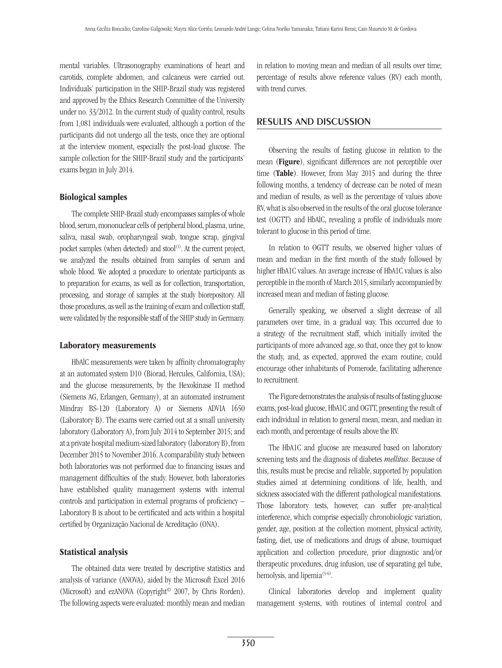mental variables. Ultrasonography examinations of heart and carotids, complete abdomen, and calcaneus were carried out. Individuals' participation in the SHIP-Brazil study was registered and approved by the Ethics Research Committee of the University under no. 33/2012. In the current study of quality control, results from 1,081 individuals were evaluated, although a portion of the participants did not undergo all the tests, once they are optional at the interview moment, especially the post-load glucose. The sample collection for the SHIP-Brazil study and the participants' exams began in July 2014.

## Biological samples

The complete SHIP-Brazil study encompasses samples of whole blood, serum, mononuclear cells of peripheral blood, plasma, urine, saliva, nasal swab, oropharyngeal swab, tongue scrap, gingival pocket samples (when detected) and  $stool^{(1)}$ . At the current project, we analyzed the results obtained from samples of serum and whole blood. We adopted a procedure to orientate participants as to preparation for exams, as well as for collection, transportation, processing, and storage of samples at the study biorepository. All those procedures, as well as the training of exam and collection staff, were validated by the responsible staff of the SHIP study in Germany.

#### Laboratory measurements

HbAlC measurements were taken by affinity chromatography at an automated system D10 (Biorad, Hercules, California, USA); and the glucose measurements, by the Hexokinase II method (Siemens AG, Erlangen, Germany), at an automated instrument Mindray BS-120 (Laboratory A) or Siemens ADVIA 1650 (Laboratory B). The exams were carried out at a small university laboratory (Laboratory A), from July 2014 to September 2015; and at a private hospital medium-sized laboratory (laboratory B), from December 2015 to November 2016. A comparability study between both laboratories was not performed due to financing issues and management difficulties of the study. However, both laboratories have established quality management systems with internal controls and participation in external programs of proficiency – Laboratory B is about to be certificated and acts within a hospital certified by Organização Nacional de Acreditação (ONA).

#### Statistical analysis

The obtained data were treated by descriptive statistics and analysis of variance (ANOVA), aided by the Microsoft Excel 2016 (Microsoft) and ezANOVA (Copyright© 2007, by Chris Rorden). The following aspects were evaluated: monthly mean and median in relation to moving mean and median of all results over time; percentage of results above reference values (RV) each month, with trend curves.

## Results and discussion

Observing the results of fasting glucose in relation to the mean (Figure), significant differences are not perceptible over time (Table). However, from May 2015 and during the three following months, a tendency of decrease can be noted of mean and median of results, as well as the percentage of values above RV, what is also observed in the results of the oral glucose tolerance test (OGTT) and HbAlC, revealing a profile of individuals more tolerant to glucose in this period of time.

In relation to OGTT results, we observed higher values of mean and median in the first month of the study followed by higher HbA1C values. An average increase of HbA1C values is also perceptible in the month of March 2015, similarly accompanied by increased mean and median of fasting glucose.

Generally speaking, we observed a slight decrease of all parameters over time, in a gradual way. This occurred due to a strategy of the recruitment staff, which initially invited the participants of more advanced age, so that, once they got to know the study, and, as expected, approved the exam routine, could encourage other inhabitants of Pomerode, facilitating adherence to recruitment.

The Figure demonstrates the analysis of results of fasting glucose exams, post-load glucose, HbA1C and OGTT, presenting the result of each individual in relation to general mean, mean, and median in each month, and percentage of results above the RV.

The HbA1C and glucose are measured based on laboratory screening tests and the diagnosis of diabetes *mellitus*. Because of this, results must be precise and reliable, supported by population studies aimed at determining conditions of life, health, and sickness associated with the different pathological manifestations. Those laboratory tests, however, can suffer pre-analytical interference, which comprise especially chronobiologic variation, gender, age, position at the collection moment, physical activity, fasting, diet, use of medications and drugs of abuse, tourniquet application and collection procedure, prior diagnostic and/or therapeutic procedures, drug infusion, use of separating gel tube, hemolysis, and lipemia<sup>(3-6)</sup>.

Clinical laboratories develop and implement quality management systems, with routines of internal control and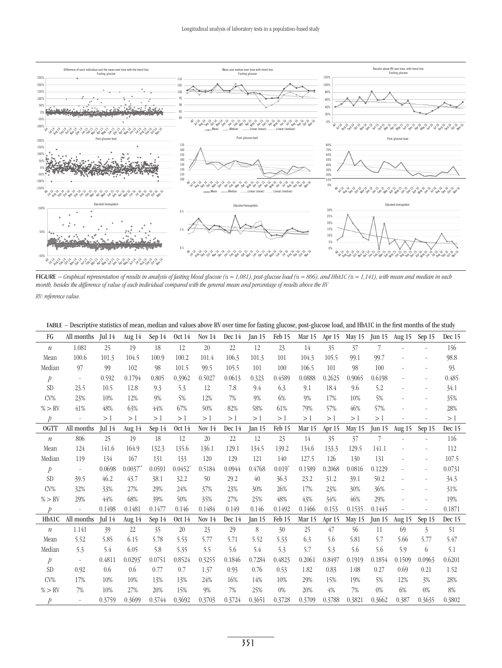

Figure *− Graphical representation of results in analysis of fasting blood glucose (*n *= 1,081), post-glucose load (*n *= 806), and HbA1C (*n *= 1,141), with mean and median in each month, besides the difference of value of each individual compared with the general mean and percentage of results above the RV RV: reference value.*

| TABLE - Descriptive statistics of mean, median and values above RV over time for fasting glucose, post-glucose load, and HbA1C in the first months of the study |  |  |  |
|-----------------------------------------------------------------------------------------------------------------------------------------------------------------|--|--|--|
|                                                                                                                                                                 |  |  |  |

| FG               | All months               | Jul $14$ | Aug 14      | Sep 14 | <b>Oct 14</b>         | Nov $14$ | Dec 14 | Jan $15$ | Feb 15   | Mar 15 | Apr 15 | May 15 | $\text{Jun } 15$ | Aug 15 | Sep 15                   | Dec 15 |
|------------------|--------------------------|----------|-------------|--------|-----------------------|----------|--------|----------|----------|--------|--------|--------|------------------|--------|--------------------------|--------|
| $\boldsymbol{n}$ | 1.081                    | 25       | 19          | 18     | 12                    | 20       | 22     | 12       | 23       | 14     | 35     | 37     |                  |        |                          | 156    |
| Mean             | 100.6                    | 101.3    | 104.5       | 100.9  | 100.2                 | 101.4    | 106.3  | 101.3    | 101      | 104.3  | 105.5  | 99.1   | 99.7             |        | $\overline{\phantom{a}}$ | 98.8   |
| Median           | 97                       | 99       | 102         | 98     | 101.5                 | 99.5     | 105.5  | 101      | 100      | 106.5  | 101    | 98     | 100              |        | $\sim$                   | 93     |
| $\dot{p}$        | $\overline{\phantom{a}}$ | 0.592    | 0.1794      | 0.805  | 0.3962                | 0.5027   | 0.0613 | 0.323    | 0.4589   | 0.0888 | 0.2625 | 0.9065 | 0.6198           |        | $\sim$                   | 0.485  |
| <b>SD</b>        | 23.5                     | 10.5     | 12.8        | 9.3    | 5.3                   | 12       | 7.8    | 9.4      | 6.3      | 9.1    | 18.4   | 9.6    | 5.2              |        | $\sim$                   | 34.1   |
| $CV\%$           | 23%                      | 10%      | 12%         | 9%     | 5%                    | 12%      | 7%     | 9%       | 6%       | 9%     | 17%    | 10%    | 5%               |        |                          | 35%    |
| % > RV           | 41%                      | 48%      | 63%         | 44%    | 67%                   | 50%      | 82%    | 58%      | 61%      | 79%    | 57%    | 46%    | 57%              |        | $\overline{\phantom{a}}$ | 28%    |
| $\mathcal{P}$    |                          | >1       | >1          | >1     | >1                    | >1       | >1     | >1       | >1       | >1     | >1     | >1     | >1               |        |                          | >1     |
| OGTT             | All months               | Jul $14$ | Aug $14$    | Sep 14 | <b>Oct 14</b>         | Nov $14$ | Dec 14 | Jan $15$ | Feb 15   | Mar 15 | Apr 15 | May 15 | Jun $15$         | Aug 15 | Sep 15                   | Dec 15 |
| $\boldsymbol{n}$ | 806                      | 25       | 19          | 18     | 12                    | 20       | 22     | 12       | 23       | 14     | 35     | 37     | 7                |        |                          | 116    |
| Mean             | 124                      | 141.6    | 164.9       | 132.3  | 135.6                 | 136.1    | 129.1  | 134.5    | 139.2    | 134.6  | 133.3  | 129.5  | 141.1            |        | $\sim$                   | 112    |
| Median           | 119                      | 134      | 167         | 131    | 133                   | 120      | 129    | 121      | 140      | 127.5  | 126    | 130    | 131              |        | $\overline{\phantom{a}}$ | 107.5  |
| $\mathcal{P}$    | $\sim$                   | 0.0698   | $0.0037$ ** | 0.0591 | $0.0452$ <sup>*</sup> | 0.5184   | 0.0944 | 0.4768   | $0.019*$ | 0.1589 | 0.2068 | 0.0816 | 0.1229           |        | $\sim$                   | 0.0731 |
| <b>SD</b>        | 39.5                     | 46.2     | 43.7        | 38.1   | 32.2                  | 50       | 29.2   | 40       | 36.3     | 23.2   | 31.2   | 39.1   | 50.2             |        | $\overline{\phantom{m}}$ | 34.3   |
| $CV\%$           | 32%                      | 33%      | 27%         | 29%    | 24%                   | 37%      | 23%    | 30%      | 26%      | 17%    | 23%    | 30%    | 36%              |        |                          | 31%    |
| % > RV           | 29%                      | 44%      | 68%         | 39%    | 50%                   | 35%      | 27%    | 25%      | 48%      | 43%    | 34%    | 46%    | 29%              |        | $\sim$                   | 19%    |
| $\mathcal{D}$    |                          | 0.1498   | 0.1481      | 0.1477 | 0.146                 | 0.1484   | 0.149  | 0.146    | 0.1492   | 0.1466 | 0.153  | 0.1535 | 0.1445           |        |                          | 0.1871 |
| HbA1C            | All months               | Jul $14$ | Aug 14      | Sep 14 | <b>Oct 14</b>         | Nov $14$ | Dec 14 | Jan $15$ | Feb 15   | Mar 15 | Apr 15 | May 15 | $\text{Jun } 15$ | Aug 15 | Sep 15                   | Dec 15 |
| $\mathfrak n$    | 1.141                    | 39       | 22          | 35     | 20                    | 23       | 29     | 8        | 30       | 25     | 47     | 56     | 11               | 69     | $\overline{3}$           | 51     |
| Mean             | 5.52                     | 5.85     | 6.15        | 5.78   | 5.53                  | 5.77     | 5.71   | 5.52     | 5.33     | 6.3    | 5.6    | 5.81   | 5.7              | 5.66   | 5.77                     | 5.47   |
| Median           | 5.3                      | 5.4      | 6.05        | 5.8    | 5.35                  | 5.5      | 5.6    | 5.4      | 5.3      | 5.7    | 5.3    | 5.6    | 5.6              | 5.9    | 6                        | 5.1    |
| $\dot{p}$        |                          | 0.4811   | 0.0293      | 0.0751 | 0.8524                | 0.3255   | 0.1846 | 0.7284   | 0.4823   | 0.2061 | 0.8497 | 0.1919 | 0.1854           | 0.1509 | 0.0963                   | 0.6201 |
| SD <sub>1</sub>  | 0.92                     | 0.6      | 0.6         | 0.77   | 0.7                   | 1.37     | 0.93   | 0.76     | 0.53     | 1.82   | 0.83   | 1.08   | 0.27             | 0.69   | 0.21                     | 1.52   |
| $CV\%$           | 17%                      | 10%      | 10%         | 13%    | 13%                   | 24%      | 16%    | 14%      | 10%      | 29%    | 15%    | 19%    | 5%               | 12%    | 3%                       | 28%    |
| % > RV           | 7%                       | 10%      | 27%         | 20%    | 15%                   | 9%       | 7%     | 25%      | $0\%$    | 20%    | 4%     | 7%     | $0\%$            | 6%     | $0\%$                    | 8%     |
| Þ                |                          | 0.3759   | 0.3699      | 0.3744 | 0.3692                | 0.3703   | 0.3724 | 0.3651   | 0.3728   | 0.3709 | 0.3788 | 0.3821 | 0.3662           | 0.387  | 0.3635                   | 0.3802 |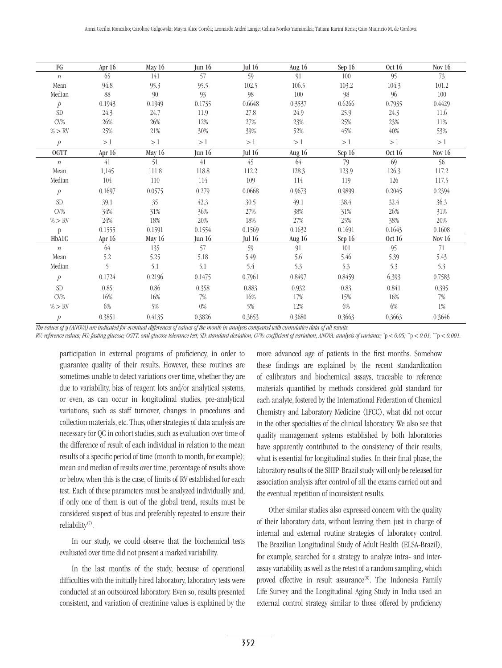| FG               | Apr $16$ | May 16   | Jun $16$ | Jul $16$      | Aug $16$ | Sep 16  | Oct 16 | Nov $16$      |
|------------------|----------|----------|----------|---------------|----------|---------|--------|---------------|
| $\boldsymbol{n}$ | 65       | 141      | 57       | 59            | 91       | $100\,$ | 95     | 73            |
| Mean             | 94.8     | 95.3     | 95.5     | 102.5         | 106.5    | 103.2   | 104.3  | 101.2         |
| Median           | 88       | 90       | 93       | 98            | $100\,$  | 98      | 96     | 100           |
| $\boldsymbol{p}$ | 0.1943   | 0.1949   | 0.1735   | 0.6648        | 0.3537   | 0.6266  | 0.7935 | 0.4429        |
| <b>SD</b>        | 24.3     | 24.7     | 11.9     | $27.8\,$      | 24.9     | 25.9    | 24.3   | 11.6          |
| $CV\%$           | 26%      | $26\%$   | 12%      | 27%           | 23%      | 25%     | 23%    | 11%           |
| $\% > \text{RV}$ | 25%      | $21\%$   | $30\%$   | 39%           | 52%      | 45%     | 40%    | 53%           |
| $\mathcal{P}$    | >1       | >1       | >1       | >1            | >1       | >1      | >1     | >1            |
| <b>OGTT</b>      | Apr $16$ | May $16$ | Jun $16$ | <b>Jul 16</b> | Aug 16   | Sep 16  | Oct 16 | Nov $16$      |
| $\boldsymbol{n}$ | 41       | 51       | 41       | 45            | 64       | 79      | 69     | 56            |
| Mean             | 1,145    | 111.8    | 118.8    | 112.2         | 128.3    | 123.9   | 126.3  | 117.2         |
| Median           | 104      | 110      | 114      | 109           | 114      | 119     | 126    | 117.5         |
| $\mathcal{P}$    | 0.1697   | 0.0575   | 0.279    | 0.0668        | 0.9673   | 0.9899  | 0.2045 | 0.2394        |
| <b>SD</b>        | 39.1     | 35       | 42.3     | 30.5          | 49.1     | 38.4    | 32.4   | 36.3          |
| $CV\%$           | 34%      | 31%      | 36%      | $27\%$        | $38\%$   | 31%     | $26\%$ | 31%           |
| % > RV           | 24%      | $18\%$   | $20\%$   | 18%           | 27%      | 25%     | 38%    | $20\%$        |
| $\mathbb{D}$     | 0.1555   | 0.1591   | 0.1554   | 0.1569        | 0.1632   | 0.1691  | 0.1643 | 0.1608        |
| HbA1C            | Apr $16$ | May 16   | Jun 16   | <b>Jul 16</b> | Aug 16   | Sep 16  | Oct 16 | <b>Nov 16</b> |
| $\boldsymbol{n}$ | 64       | 135      | 57       | 59            | 91       | 101     | 95     | 71            |
| Mean             | 5.2      | 5.25     | 5.18     | 5.49          | 5.6      | 5.46    | 5.39   | 5.43          |
| Median           | 5        | 5.1      | 5.1      | 5.4           | 5.3      | 5.3     | 5.3    | 5.3           |
| $\dot{p}$        | 0.1724   | 0.2196   | 0.1475   | 0.7961        | 0.8497   | 0.8459  | 6,393  | 0.7583        |
| ${\rm SD}$       | 0.85     | $0.86\,$ | 0.358    | 0.883         | 0.932    | 0.83    | 0.841  | 0.395         |
| $CV\%$           | 16%      | 16%      | 7%       | 16%           | 17%      | 15%     | 16%    | 7%            |
| % > RV           | $6\%$    | 5%       | $0\%$    | 5%            | 12%      | $6\%$   | 6%     | $1\%$         |
| $\,p\,$          | 0.3851   | 0.4135   | 0.3826   | 0.3653        | 0.3680   | 0.3663  | 0.3663 | 0.3646        |

*The values of* p *(ANOVA) are indicated for eventual differences of values of the month in analysis compared with cumulative data of all results.*

RV: reference values; FG: fasting glucose; OGTT: oral glucose tolerance test; SD: standard deviation; CV%: coefficient of variation; ANOVA: analysis of variance; \*p < 0.05; \*\*p < 0.01; \*\*p < 0.01; \*\*p < 0.001.

participation in external programs of proficiency, in order to guarantee quality of their results. However, these routines are sometimes unable to detect variations over time, whether they are due to variability, bias of reagent lots and/or analytical systems, or even, as can occur in longitudinal studies, pre-analytical variations, such as staff turnover, changes in procedures and collection materials, etc. Thus, other strategies of data analysis are necessary for QC in cohort studies, such as evaluation over time of the difference of result of each individual in relation to the mean results of a specific period of time (month to month, for example); mean and median of results over time; percentage of results above or below, when this is the case, of limits of RV established for each test. Each of these parameters must be analyzed individually and, if only one of them is out of the global trend, results must be considered suspect of bias and preferably repeated to ensure their reliability(7).

In our study, we could observe that the biochemical tests evaluated over time did not present a marked variability.

In the last months of the study, because of operational difficulties with the initially hired laboratory, laboratory tests were conducted at an outsourced laboratory. Even so, results presented consistent, and variation of creatinine values is explained by the more advanced age of patients in the first months. Somehow these findings are explained by the recent standardization of calibrators and biochemical assays, traceable to reference materials quantified by methods considered gold standard for each analyte, fostered by the International Federation of Chemical Chemistry and Laboratory Medicine (IFCC), what did not occur in the other specialties of the clinical laboratory. We also see that quality management systems established by both laboratories have apparently contributed to the consistency of their results, what is essential for longitudinal studies. In their final phase, the laboratory results of the SHIP-Brazil study will only be released for association analysis after control of all the exams carried out and the eventual repetition of inconsistent results.

Other similar studies also expressed concern with the quality of their laboratory data, without leaving them just in charge of internal and external routine strategies of laboratory control. The Brazilian Longitudinal Study of Adult Health (ELSA-Brazil), for example, searched for a strategy to analyze intra- and interassay variability, as well as the retest of a random sampling, which proved effective in result assurance<sup>(8)</sup>. The Indonesia Family Life Survey and the Longitudinal Aging Study in India used an external control strategy similar to those offered by proficiency